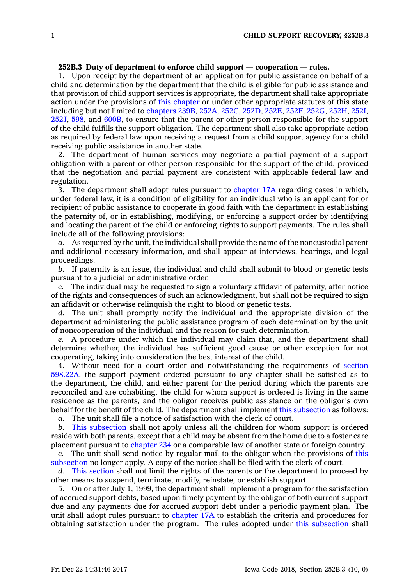## **252B.3 Duty of department to enforce child support — cooperation — rules.**

1. Upon receipt by the department of an application for public assistance on behalf of <sup>a</sup> child and determination by the department that the child is eligible for public assistance and that provision of child support services is appropriate, the department shall take appropriate action under the provisions of this [chapter](https://www.legis.iowa.gov/docs/code//252B.pdf) or under other appropriate statutes of this state including but not limited to [chapters](https://www.legis.iowa.gov/docs/code//239B.pdf) 239B, [252A](https://www.legis.iowa.gov/docs/code//252A.pdf), [252C](https://www.legis.iowa.gov/docs/code//252C.pdf), [252D](https://www.legis.iowa.gov/docs/code//252D.pdf), [252E](https://www.legis.iowa.gov/docs/code//252E.pdf), [252F](https://www.legis.iowa.gov/docs/code//252F.pdf), [252G](https://www.legis.iowa.gov/docs/code//252G.pdf), [252H](https://www.legis.iowa.gov/docs/code//252H.pdf), [252I](https://www.legis.iowa.gov/docs/code//252I.pdf), [252J](https://www.legis.iowa.gov/docs/code//252J.pdf), [598](https://www.legis.iowa.gov/docs/code//598.pdf), and [600B](https://www.legis.iowa.gov/docs/code//600B.pdf), to ensure that the parent or other person responsible for the support of the child fulfills the support obligation. The department shall also take appropriate action as required by federal law upon receiving <sup>a</sup> request from <sup>a</sup> child support agency for <sup>a</sup> child receiving public assistance in another state.

2. The department of human services may negotiate <sup>a</sup> partial payment of <sup>a</sup> support obligation with <sup>a</sup> parent or other person responsible for the support of the child, provided that the negotiation and partial payment are consistent with applicable federal law and regulation.

3. The department shall adopt rules pursuant to [chapter](https://www.legis.iowa.gov/docs/code//17A.pdf) 17A regarding cases in which, under federal law, it is <sup>a</sup> condition of eligibility for an individual who is an applicant for or recipient of public assistance to cooperate in good faith with the department in establishing the paternity of, or in establishing, modifying, or enforcing <sup>a</sup> support order by identifying and locating the parent of the child or enforcing rights to support payments. The rules shall include all of the following provisions:

*a.* As required by the unit, the individual shall provide the name of the noncustodial parent and additional necessary information, and shall appear at interviews, hearings, and legal proceedings.

*b.* If paternity is an issue, the individual and child shall submit to blood or genetic tests pursuant to <sup>a</sup> judicial or administrative order.

*c.* The individual may be requested to sign <sup>a</sup> voluntary affidavit of paternity, after notice of the rights and consequences of such an acknowledgment, but shall not be required to sign an affidavit or otherwise relinquish the right to blood or genetic tests.

*d.* The unit shall promptly notify the individual and the appropriate division of the department administering the public assistance program of each determination by the unit of noncooperation of the individual and the reason for such determination.

*e.* A procedure under which the individual may claim that, and the department shall determine whether, the individual has sufficient good cause or other exception for not cooperating, taking into consideration the best interest of the child.

4. Without need for <sup>a</sup> court order and notwithstanding the requirements of [section](https://www.legis.iowa.gov/docs/code/598.22A.pdf) [598.22A](https://www.legis.iowa.gov/docs/code/598.22A.pdf), the support payment ordered pursuant to any chapter shall be satisfied as to the department, the child, and either parent for the period during which the parents are reconciled and are cohabiting, the child for whom support is ordered is living in the same residence as the parents, and the obligor receives public assistance on the obligor's own behalf for the benefit of the child. The department shall implement this [subsection](https://www.legis.iowa.gov/docs/code/252B.3.pdf) as follows:

*a.* The unit shall file <sup>a</sup> notice of satisfaction with the clerk of court.

*b.* This [subsection](https://www.legis.iowa.gov/docs/code/252B.3.pdf) shall not apply unless all the children for whom support is ordered reside with both parents, except that <sup>a</sup> child may be absent from the home due to <sup>a</sup> foster care placement pursuant to [chapter](https://www.legis.iowa.gov/docs/code//234.pdf) 234 or <sup>a</sup> comparable law of another state or foreign country.

*c.* The unit shall send notice by regular mail to the obligor when the provisions of [this](https://www.legis.iowa.gov/docs/code/252B.3.pdf) [subsection](https://www.legis.iowa.gov/docs/code/252B.3.pdf) no longer apply. A copy of the notice shall be filed with the clerk of court.

*d.* This [section](https://www.legis.iowa.gov/docs/code/252B.3.pdf) shall not limit the rights of the parents or the department to proceed by other means to suspend, terminate, modify, reinstate, or establish support.

5. On or after July 1, 1999, the department shall implement <sup>a</sup> program for the satisfaction of accrued support debts, based upon timely payment by the obligor of both current support due and any payments due for accrued support debt under <sup>a</sup> periodic payment plan. The unit shall adopt rules pursuant to [chapter](https://www.legis.iowa.gov/docs/code//17A.pdf) 17A to establish the criteria and procedures for obtaining satisfaction under the program. The rules adopted under this [subsection](https://www.legis.iowa.gov/docs/code/252B.3.pdf) shall